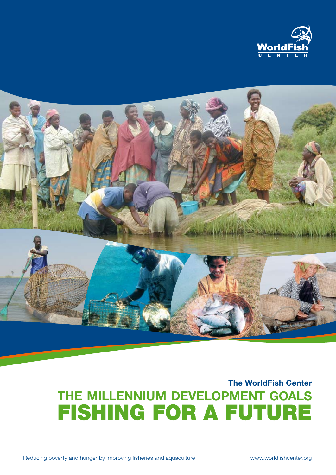



## **The WorldFish Center the MilLennium Development goals** FISHING FOR A FUTURE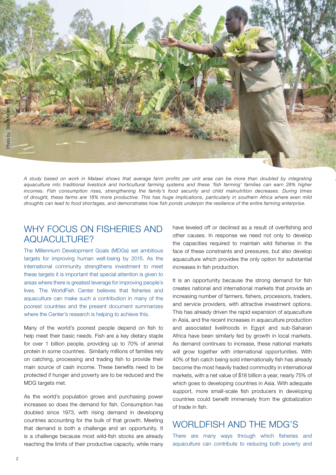

*A study based on work in Malawi shows that average farm profits per unit area can be more than doubled by integrating aquaculture into traditional livestock and horticultural farming systems and these 'fish farming' families can earn 28% higher incomes. Fish consumption rises, strengthening the family's food security and child malnutrition decreases. During times of drought, these farms are 18% more productive. This has huge implications, particularly in southern Africa where even mild droughts can lead to food shortages, and demonstrates how fish ponds underpin the resilience of the entire farming enterprise.*

## WHY FOCUS ON FISHERIES AND aquaculture?

The Millennium Development Goals (MDGs) set ambitious targets for improving human well-being by 2015. As the international community strengthens investment to meet these targets it is important that special attention is given to areas where there is greatest leverage for improving people's lives. The WorldFish Center believes that fisheries and aquaculture can make such a contribution in many of the poorest countries and the present document summarizes where the Center's research is helping to achieve this.

Many of the world's poorest people depend on fish to help meet their basic needs. Fish are a key dietary staple for over 1 billion people, providing up to 70% of animal protein in some countries. Similarly millions of families rely on catching, processing and trading fish to provide their main source of cash income. These benefits need to be protected if hunger and poverty are to be reduced and the MDG targets met.

As the world's population grows and purchasing power increases so does the demand for fish. Consumption has doubled since 1973, with rising demand in developing countries accounting for the bulk of that growth. Meeting that demand is both a challenge and an opportunity. It is a challenge because most wild-fish stocks are already reaching the limits of their productive capacity, while many have leveled off or declined as a result of overfishing and other causes. In response we need not only to develop the capacities required to maintain wild fisheries in the face of these constraints and pressures, but also develop aquaculture which provides the only option for substantial increases in fish production.

It is an opportunity because the strong demand for fish creates national and international markets that provide an increasing number of farmers, fishers, processors, traders, and service providers, with attractive investment options. This has already driven the rapid expansion of aquaculture in Asia, and the recent increases in aquaculture production and associated livelihoods in Egypt and sub-Saharan Africa have been similarly fed by growth in local markets. As demand continues to increase, these national markets will grow together with international opportunities. With 40% of fish catch being sold internationally fish has already become the most heavily traded commodity in international markets, with a net value of \$18 billion a year, nearly 75% of which goes to developing countries in Asia. With adequate support, more small-scale fish producers in developing countries could benefit immensely from the globalization of trade in fish.

## WORLDFISH AND THE MDG'S

There are many ways through which fisheries and aquaculture can contribute to reducing both poverty and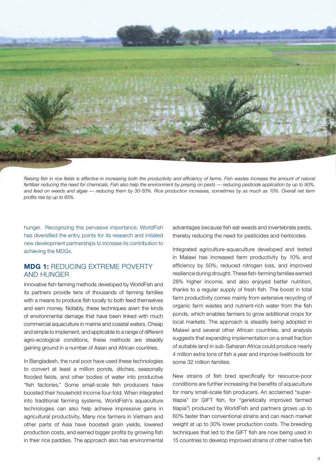

*Raising fish in rice fields is effective in increasing both the productivity and efficiency of farms. Fish wastes increase the amount of natural fertilizer reducing the need for chemicals. Fish also help the environment by preying on pests — reducing pesticide application by up to 90%, and feed on weeds and algae — reducing them by 30-50%. Rice production increases, sometimes by as much as 10%. Overall net farm profits rise by up to 65%.*

hunger. Recognizing this pervasive importance, WorldFish has diversified the entry points for its research and initiated new development partnerships to increase its contribution to achieving the MDGs.

## **MDG 1:** Reducing extreme poverty and hunger

Innovative fish-farming methods developed by WorldFish and its partners provide tens of thousands of farming families with a means to produce fish locally to both feed themselves and earn money. Notably, these techniques avert the kinds of environmental damage that have been linked with much commercial aquaculture in marine and coastal waters. Cheap and simple to implement, and applicable to a range of different agro-ecological conditions, these methods are steadily gaining ground in a number of Asian and African countries.

In Bangladesh, the rural poor have used these technologies to convert at least a million ponds, ditches, seasonally flooded fields, and other bodies of water into productive "fish factories." Some small-scale fish producers have boosted their household income four-fold. When integrated into traditional farming systems, WorldFish's aquaculture technologies can also help achieve impressive gains in agricultural productivity. Many rice farmers in Vietnam and other parts of Asia have boosted grain yields, lowered production costs, and earned bigger profits by growing fish in their rice paddies. The approach also has environmental advantages because fish eat weeds and invertebrate pests, thereby reducing the need for pesticides and herbicides.

Integrated agriculture-aquaculture developed and tested in Malawi has increased farm productivity by 10% and efficiency by 50%, reduced nitrogen loss, and improved resilience during drought. These fish-farming families earned 28% higher income, and also enjoyed better nutrition, thanks to a regular supply of fresh fish. The boost in total farm productivity comes mainly from extensive recycling of organic farm wastes and nutrient-rich water from the fish ponds, which enables farmers to grow additional crops for local markets. The approach is steadily being adopted in Malawi and several other African countries, and analysis suggests that expanding implementation on a small fraction of suitable land in sub-Saharan Africa could produce nearly 4 million extra tons of fish a year and improve livelihoods for some 32 million families.

New strains of fish bred specifically for resource-poor conditions are further increasing the benefits of aquaculture for many small-scale fish producers. An acclaimed "supertilapia" (or GIFT fish, for "genetically improved farmed tilapia") produced by WorldFish and partners grows up to 60% faster than conventional strains and can reach market weight at up to 30% lower production costs. The breeding techniques that led to the GIFT fish are now being used in 15 countries to develop improved strains of other native fish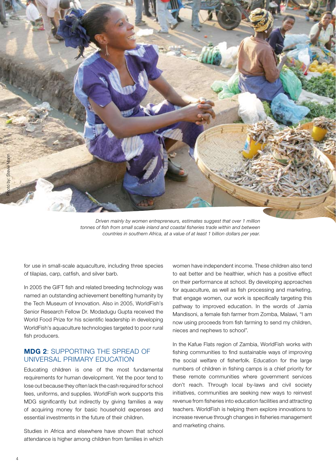

*Driven mainly by women entrepreneurs, estimates suggest that over 1 million tonnes of fish from small scale inland and coastal fisheries trade within and between countries in southern Africa, at a value of at least 1 billion dollars per year.* 

for use in small-scale aquaculture, including three species of tilapias, carp, catfish, and silver barb.

In 2005 the GIFT fish and related breeding technology was named an outstanding achievement benefiting humanity by the Tech Museum of Innovation. Also in 2005, WorldFish's Senior Research Fellow Dr. Modadugu Gupta received the World Food Prize for his scientific leadership in developing WorldFish's aquaculture technologies targeted to poor rural fish producers.

## **MDG 2**: Supporting the spread of universal primary education

Educating children is one of the most fundamental requirements for human development. Yet the poor tend to lose out because they often lack the cash required for school fees, uniforms, and supplies. WorldFish work supports this MDG significantly but indirectly by giving families a way of acquiring money for basic household expenses and essential investments in the future of their children.

Studies in Africa and elsewhere have shown that school attendance is higher among children from families in which

women have independent income. These children also tend to eat better and be healthier, which has a positive effect on their performance at school. By developing approaches for aquaculture, as well as fish processing and marketing, that engage women, our work is specifically targeting this pathway to improved education. In the words of Jamia Mandisoni, a female fish farmer from Zomba, Malawi, "I am now using proceeds from fish farming to send my children, nieces and nephews to school".

In the Kafue Flats region of Zambia, WorldFish works with fishing communities to find sustainable ways of improving the social welfare of fisherfolk. Education for the large numbers of children in fishing camps is a chief priority for these remote communities where government services don't reach. Through local by-laws and civil society initiatives, communities are seeking new ways to reinvest revenue from fisheries into education facilities and attracting teachers. WorldFish is helping them explore innovations to increase revenue through changes in fisheries management and marketing chains.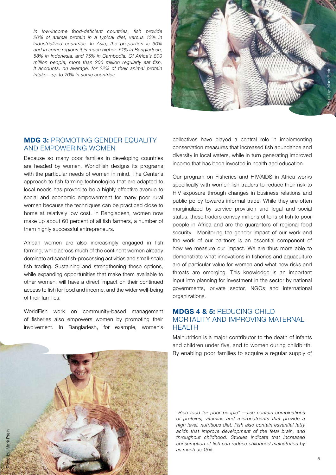*In low-income food-deficient countries, fish provide 20% of animal protein in a typical diet, versus 13% in industrialized countries. In Asia, the proportion is 30% and in some regions it is much higher: 51% in Bangladesh, 58% in Indonesia, and 75% in Cambodia. Of Africa's 800 million people, more than 200 million regularly eat fish. It accounts, on average, for 22% of their animal protein intake—up to 70% in some countries.*



## **MDG 3: PROMOTING GENDER FOUALITY** and empowering women

Because so many poor families in developing countries are headed by women, WorldFish designs its programs with the particular needs of women in mind. The Center's approach to fish farming technologies that are adapted to local needs has proved to be a highly effective avenue to social and economic empowerment for many poor rural women because the techniques can be practiced close to home at relatively low cost. In Bangladesh, women now make up about 60 percent of all fish farmers, a number of them highly successful entrepreneurs.

African women are also increasingly engaged in fish farming, while across much of the continent women already dominate artisanal fish-processing activities and small-scale fish trading. Sustaining and strengthening these options, while expanding opportunities that make them available to other women, will have a direct impact on their continued access to fish for food and income, and the wider well-being of their families.

WorldFish work on community-based management of fisheries also empowers women by promoting their involvement. In Bangladesh, for example, women's

collectives have played a central role in implementing conservation measures that increased fish abundance and diversity in local waters, while in turn generating improved income that has been invested in health and education.

Our program on Fisheries and HIV/AIDS in Africa works specifically with women fish traders to reduce their risk to HIV exposure through changes in business relations and public policy towards informal trade. While they are often marginalized by service provision and legal and social status, these traders convey millions of tons of fish to poor people in Africa and are the guarantors of regional food security. Monitoring the gender impact of our work and the work of our partners is an essential component of how we measure our impact. We are thus more able to demonstrate what innovations in fisheries and aquaculture are of particular value for women and what new risks and threats are emerging. This knowledge is an important input into planning for investment in the sector by national governments, private sector, NGOs and international organizations.

## **MDGs 4 & 5:** Reducing child mortality and improving maternal **HEALTH**

Malnutrition is a major contributor to the death of infants and children under five, and to women during childbirth. By enabling poor families to acquire a regular supply of



*"Rich food for poor people" —fish contain combinations of proteins, vitamins and micronutrients that provide a high level, nutritious diet. Fish also contain essential fatty acids that improve development of the fetal brain, and throughout childhood. Studies indicate that increased consumption of fish can reduce childhood malnutrition by as much as 15%.*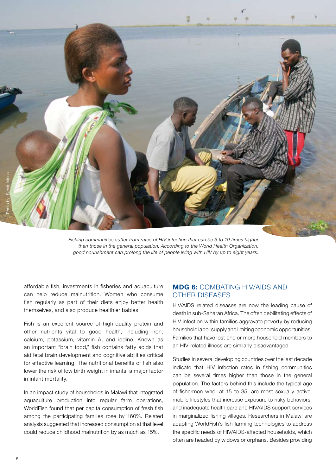

*Fishing communities suffer from rates of HIV infection that can be 5 to 10 times higher than those in the general population. According to the World Health Organization, good nourishment can prolong the life of people living with HIV by up to eight years.*

affordable fish, investments in fisheries and aquaculture can help reduce malnutrition. Women who consume fish regularly as part of their diets enjoy better health themselves, and also produce healthier babies.

Fish is an excellent source of high-quality protein and other nutrients vital to good health, including iron, calcium, potassium, vitamin A, and iodine. Known as an important "brain food," fish contains fatty acids that aid fetal brain development and cognitive abilities critical for effective learning. The nutritional benefits of fish also lower the risk of low birth weight in infants, a major factor in infant mortality.

In an impact study of households in Malawi that integrated aquaculture production into regular farm operations, WorldFish found that per capita consumption of fresh fish among the participating families rose by 160%. Related analysis suggested that increased consumption at that level could reduce childhood malnutrition by as much as 15%.

## **MDG 6: COMBATING HIV/AIDS AND** other diseases

HIV/AIDS related diseases are now the leading cause of death in sub-Saharan Africa. The often debilitating effects of HIV infection within families aggravate poverty by reducing household labor supply and limiting economic opportunities. Families that have lost one or more household members to an HIV-related illness are similarly disadvantaged.

Studies in several developing countries over the last decade indicate that HIV infection rates in fishing communities can be several times higher than those in the general population. The factors behind this include the typical age of fishermen who, at 15 to 35, are most sexually active, mobile lifestyles that increase exposure to risky behaviors, and inadequate health care and HIV/AIDS support services in marginalized fishing villages. Researchers in Malawi are adapting WorldFish's fish-farming technologies to address the specific needs of HIV/AIDS-affected households, which often are headed by widows or orphans. Besides providing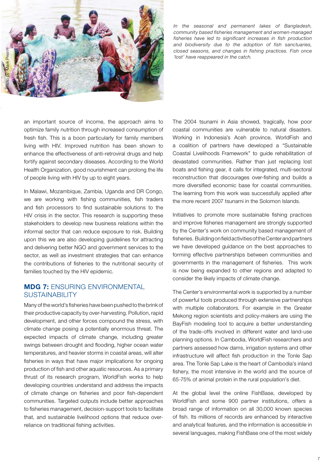

*In the seasonal and permanent lakes of Bangladesh, community based fisheries management and women-managed fisheries have led to significant increases in fish production and biodiversity due to the adoption of fish sanctuaries, closed seasons, and changes in fishing practices. Fish once 'lost' have reappeared in the catch.*

an important source of income, the approach aims to optimize family nutrition through increased consumption of fresh fish. This is a boon particularly for family members living with HIV. Improved nutrition has been shown to enhance the effectiveness of anti-retroviral drugs and help fortify against secondary diseases. According to the World Health Organization, good nourishment can prolong the life of people living with HIV by up to eight years.

In Malawi, Mozambique, Zambia, Uganda and DR Congo, we are working with fishing communities, fish traders and fish processors to find sustainable solutions to the HIV crisis in the sector. This research is supporting these stakeholders to develop new business relations within the informal sector that can reduce exposure to risk. Building upon this we are also developing guidelines for attracting and delivering better NGO and government services to the sector, as well as investment strategies that can enhance the contributions of fisheries to the nutritional security of families touched by the HIV epidemic.

## **MDG 7:** Ensuring environmental **SUSTAINABILITY**

Many of the world's fisheries have been pushed to the brink of their productive capacity by over-harvesting. Pollution, rapid development, and other forces compound the stress, with climate change posing a potentially enormous threat. The expected impacts of climate change, including greater swings between drought and flooding, higher ocean water temperatures, and heavier storms in coastal areas, will alter fisheries in ways that have major implications for ongoing production of fish and other aquatic resources. As a primary thrust of its research program, WorldFish works to help developing countries understand and address the impacts of climate change on fisheries and poor fish-dependent communities. Targeted outputs include better approaches to fisheries management, decision-support tools to facilitate that, and sustainable livelihood options that reduce overreliance on traditional fishing activities.

The 2004 tsunami in Asia showed, tragically, how poor coastal communities are vulnerable to natural disasters. Working in Indonesia's Aceh province, WorldFish and a coalition of partners have developed a "Sustainable Coastal Livelihoods Framework" to guide rehabilitation of devastated communities. Rather than just replacing lost boats and fishing gear, it calls for integrated, multi-sectoral reconstruction that discourages over-fishing and builds a more diversified economic base for coastal communities. The learning from this work was successfully applied after the more recent 2007 tsunami in the Solomon Islands.

Initiatives to promote more sustainable fishing practices and improve fisheries management are strongly supported by the Center's work on community based management of fisheries. Building on field activities of the Center and partners we have developed guidance on the best approaches to forming effective partnerships between communities and governments in the management of fisheries. This work is now being expanded to other regions and adapted to consider the likely impacts of climate change.

The Center's environmental work is supported by a number of powerful tools produced through extensive partnerships with multiple collaborators. For example in the Greater Mekong region scientists and policy-makers are using the BayFish modeling tool to acquire a better understanding of the trade-offs involved in different water and land-use planning options. In Cambodia, WorldFish researchers and partners assessed how dams, irrigation systems and other infrastructure will affect fish production in the Tonle Sap area. The Tonle Sap Lake is the heart of Cambodia's inland fishery, the most intensive in the world and the source of 65-75% of animal protein in the rural population's diet.

At the global level the online FishBase, developed by WorldFish and some 900 partner institutions, offers a broad range of information on all 30,000 known species of fish. Its millions of records are enhanced by interactive and analytical features, and the information is accessible in several languages, making FishBase one of the most widely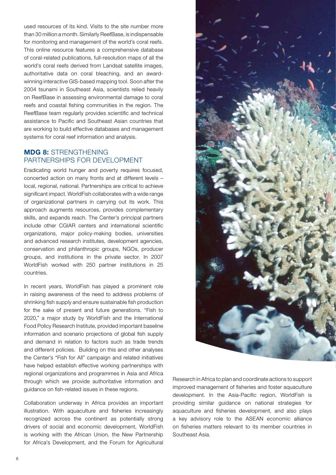used resources of its kind. Visits to the site number more than 30 million a month. Similarly ReefBase, is indispensable for monitoring and management of the world's coral reefs. This online resource features a comprehensive database of coral-related publications, full-resolution maps of all the world's coral reefs derived from Landsat satellite images, authoritative data on coral bleaching, and an awardwinning interactive GIS-based mapping tool. Soon after the 2004 tsunami in Southeast Asia, scientists relied heavily on ReefBase in assessing environmental damage to coral reefs and coastal fishing communities in the region. The ReefBase team regularly provides scientific and technical assistance to Pacific and Southeast Asian countries that are working to build effective databases and management systems for coral reef information and analysis.

## **MDG 8:** Strengthening partnerships for development

Eradicating world hunger and poverty requires focused, concerted action on many fronts and at different levels – local, regional, national. Partnerships are critical to achieve significant impact. WorldFish collaborates with a wide range of organizational partners in carrying out its work. This approach augments resources, provides complementary skills, and expands reach. The Center's principal partners include other CGIAR centers and international scientific organizations, major policy-making bodies, universities and advanced research institutes, development agencies, conservation and philanthropic groups, NGOs, producer groups, and institutions in the private sector. In 2007 WorldFish worked with 250 partner institutions in 25 countries.

In recent years, WorldFish has played a prominent role in raising awareness of the need to address problems of shrinking fish supply and ensure sustainable fish production for the sake of present and future generations. "Fish to 2020," a major study by WorldFish and the International Food Policy Research Institute, provided important baseline information and scenario projections of global fish supply and demand in relation to factors such as trade trends and different policies. Building on this and other analyses the Center's "Fish for All" campaign and related initiatives have helped establish effective working partnerships with regional organizations and programmes in Asia and Africa through which we provide authoritative information and guidance on fish-related issues in these regions.

Collaboration underway in Africa provides an important illustration. With aquaculture and fisheries increasingly recognized across the continent as potentially strong drivers of social and economic development, WorldFish is working with the African Union, the New Partnership for Africa's Development, and the Forum for Agricultural



Research in Africa to plan and coordinate actions to support improved management of fisheries and foster aquaculture development. In the Asia-Pacific region, WorldFish is providing similar guidance on national strategies for aquaculture and fisheries development, and also plays a key advisory role to the ASEAN economic alliance on fisheries matters relevant to its member countries in Southeast Asia.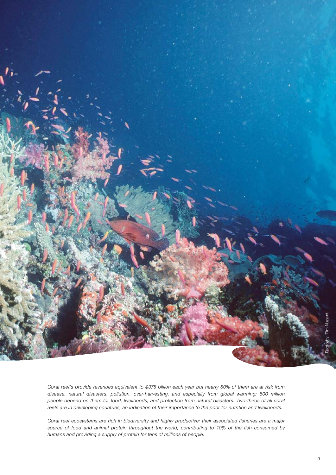

*Coral reef's provide revenues equivalent to \$375 billion each year but nearly 60% of them are at risk from disease, natural disasters, pollution, over-harvesting, and especially from global warming; 500 million people depend on them for food, livelihoods, and protection from natural disasters. Two-thirds of all coral reefs are in developing countries, an indication of their importance to the poor for nutrition and livelihoods.* 

*Coral reef ecosystems are rich in biodiversity and highly productive; their associated fisheries are a major source of food and animal protein throughout the world, contributing to 10% of the fish consumed by humans and providing a supply of protein for tens of millions of people.*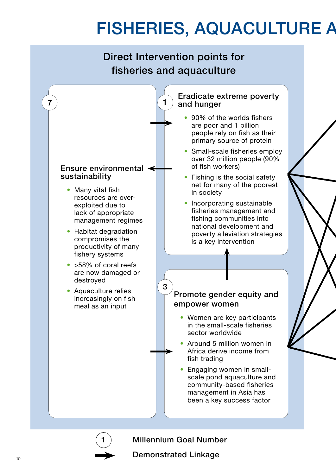# FISHERIES, AQUACULTURE A



**Millennium Goal Number**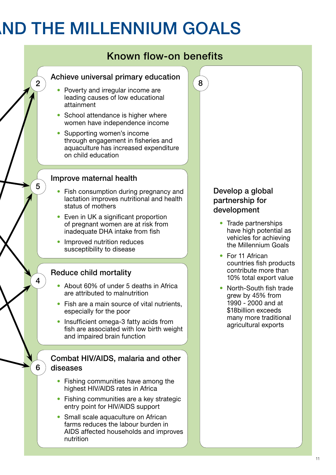## **ND THE MILLENNIUM GOALS**